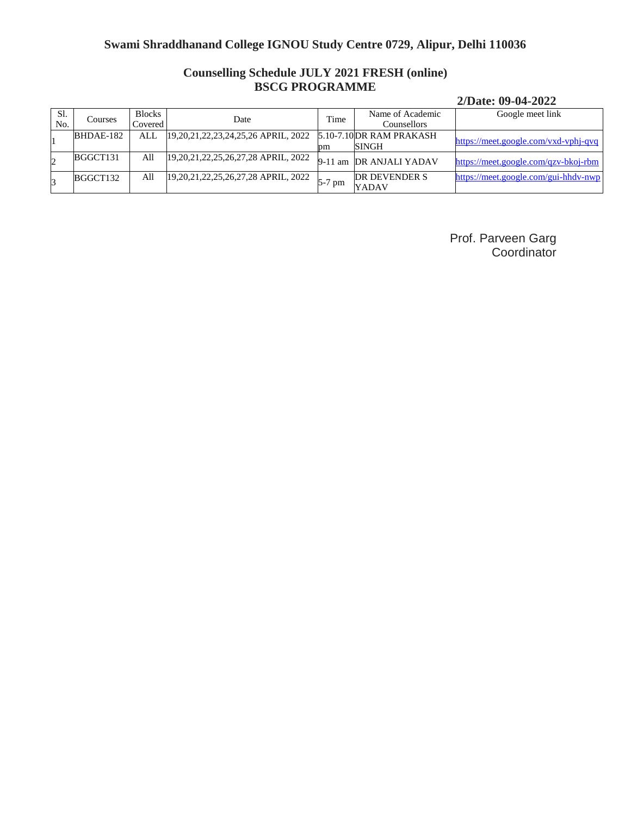## **Counselling Schedule JULY 2021 FRESH (online) BSCG PROGRAMME**

#### **2/Date: 09-04-2022**

| SI.<br>No. | Courses   | <b>Blocks</b><br>Covered | Date                                       | Time     | Name of Academic<br>Counsellors  | Google meet link                     |
|------------|-----------|--------------------------|--------------------------------------------|----------|----------------------------------|--------------------------------------|
|            | BHDAE-182 | ALL.                     | 19, 20, 21, 22, 23, 24, 25, 26 APRIL, 2022 | рm       | 5.10-7.10DR RAM PRAKASH<br>SINGH | https://meet.google.com/vxd-vphj-qvq |
| 2          | BGGCT131  | All                      | 19, 20, 21, 22, 25, 26, 27, 28 APRIL, 2022 | 9-11 am  | DR ANJALI YADAV                  | https://meet.google.com/qzv-bkoj-rbm |
| 3          | BGGCT132  | All                      | 19, 20, 21, 22, 25, 26, 27, 28 APRIL, 2022 | $5-7$ pm | DR DEVENDER S<br>YADAV           | https://meet.google.com/gui-hhdv-nwp |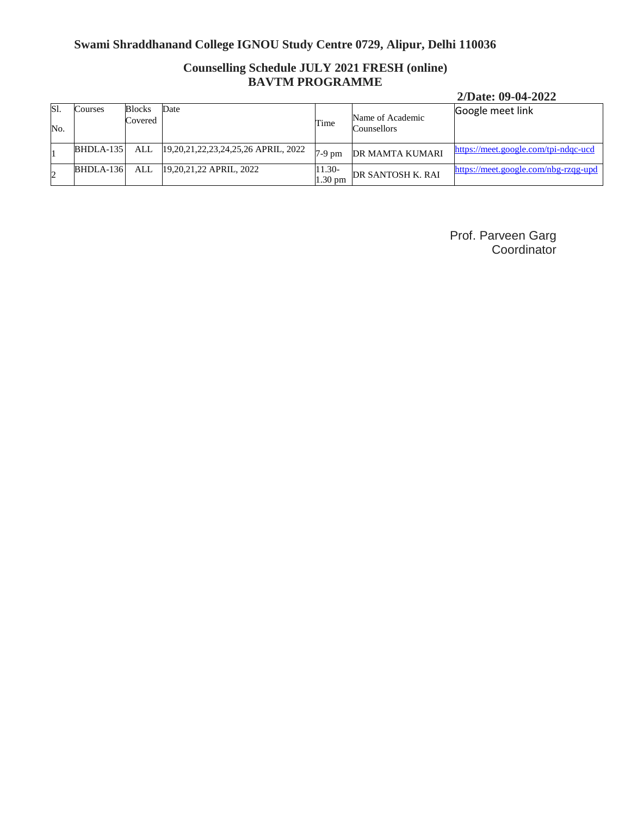## **Counselling Schedule JULY 2021 FRESH (online) BAVTM PROGRAMME**

## **2/Date: 09-04-2022**

| IS <sub>1</sub><br>No. | Courses     | Blocks<br>Covered | Date                                  | Time                        | Name of Academic<br>Counsellors | Google meet link                     |
|------------------------|-------------|-------------------|---------------------------------------|-----------------------------|---------------------------------|--------------------------------------|
|                        | BHDLA-135   | ALL               | [19,20,21,22,23,24,25,26 APRIL, 2022] | $7-9$ pm                    | DR MAMTA KUMARI                 | https://meet.google.com/tpi-ndqc-ucd |
|                        | $BHDLA-136$ | ALL               | [19,20,21,22 APRIL, 2022]             | 11.30-<br>$1.30 \text{ pm}$ | DR SANTOSH K. RAI               | https://meet.google.com/nbg-rzqg-upd |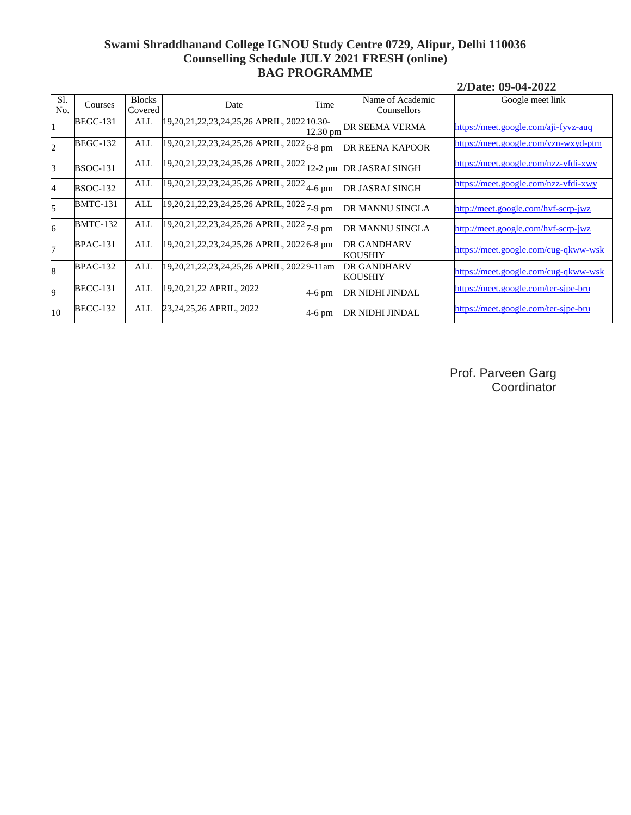#### **Swami Shraddhanand College IGNOU Study Centre 0729, Alipur, Delhi 110036 Counselling Schedule JULY 2021 FRESH (online) BAG PROGRAMME**

**2/Date: 09-04-2022**

| S1<br>No. | Courses         | <b>Blocks</b><br>Covered | Date                                                                                     | Time       | Name of Academic<br>Counsellors      | Google meet link                     |
|-----------|-----------------|--------------------------|------------------------------------------------------------------------------------------|------------|--------------------------------------|--------------------------------------|
| 11        | <b>BEGC-131</b> | ALL                      | 19,20,21,22,23,24,25,26 APRIL, 2022 10.30-                                               | $12.30$ pm | DR SEEMA VERMA                       | https://meet.google.com/aji-fyvz-auq |
| 2         | <b>BEGC-132</b> | ALL                      | $\frac{1}{9,20,21,22,23,24,25,26 \text{ APRIL}}$ , 2022 $\left _{6-8 \text{ pm}}\right $ |            | DR REENA KAPOOR                      | https://meet.google.com/yzn-wxyd-ptm |
| B         | <b>BSOC-131</b> | <b>ALL</b>               | $\overline{19,20,21,22,23,24,25,26}$ APRIL, 2022 $\vert$ 12-2 pm                         |            | <b>DR JASRAJ SINGH</b>               | https://meet.google.com/nzz-vfdi-xwy |
| 4         | <b>BSOC-132</b> | ALL                      | $\sqrt{19,20,21,22,23,24,25,26 \text{ APRIL}}$ , 2022 $\mu$ -6 pm                        |            | DR JASRAJ SINGH                      | https://meet.google.com/nzz-vfdi-xwy |
| 5         | <b>BMTC-131</b> | ALL                      | $\overline{19,20,21,22,23,24,25,26}$ APRIL, 2022 $\left 7-9\right\rangle$ pm             |            | DR MANNU SINGLA                      | http://meet.google.com/hvf-scrp-jwz  |
| 6         | <b>BMTC-132</b> | ALL                      | $\frac{19,20,21,22,23,24,25,26}{7,9}$ pm                                                 |            | DR MANNU SINGLA                      | http://meet.google.com/hvf-scrp-jwz  |
| 7         | <b>BPAC-131</b> | ALL                      | 19,20,21,22,23,24,25,26 APRIL, 2022 6-8 pm                                               |            | <b>DR GANDHARV</b><br><b>KOUSHIY</b> | https://meet.google.com/cug-qkww-wsk |
| 8         | <b>BPAC-132</b> | ALL                      | 19,20,21,22,23,24,25,26 APRIL, 20229-11am                                                |            | <b>DR GANDHARV</b><br><b>KOUSHIY</b> | https://meet.google.com/cug-qkww-wsk |
| 9         | <b>BECC-131</b> | ALL                      | 19,20,21,22 APRIL, 2022                                                                  | $4-6$ pm   | <b>DR NIDHI JINDAL</b>               | https://meet.google.com/ter-sipe-bru |
| 10        | <b>BECC-132</b> | ALL                      | 23,24,25,26 APRIL, 2022                                                                  | $4-6$ pm   | DR NIDHI JINDAL                      | https://meet.google.com/ter-sipe-bru |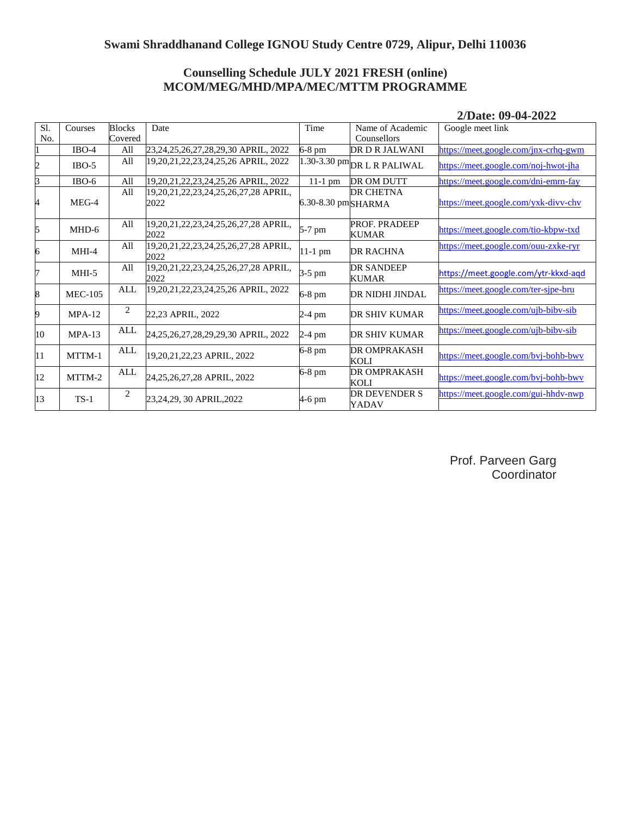### **Counselling Schedule JULY 2021 FRESH (online) MCOM/MEG/MHD/MPA/MEC/MTTM PROGRAMME**

| SI.<br>No. | Courses        | <b>Blocks</b><br>Covered | Date                                         | Time               | Name of Academic<br>Counsellors   | Google meet link                     |
|------------|----------------|--------------------------|----------------------------------------------|--------------------|-----------------------------------|--------------------------------------|
|            | $IBO-4$        | All                      | 23,24,25,26,27,28,29,30 APRIL, 2022          | 6-8 pm             | DR D R JALWANI                    | https://meet.google.com/jnx-crhq-gwm |
| 2          | $IBO-5$        | All                      | 19,20,21,22,23,24,25,26 APRIL, 2022          |                    | $1.30-3.30$ pm DR L R PALIWAL     | https://meet.google.com/noj-hwot-jha |
| 3          | $IBO-6$        | All                      | 19,20,21,22,23,24,25,26 APRIL, 2022          | $11-1$ pm          | DR OM DUTT                        | https://meet.google.com/dni-emrn-fay |
| 4          | $MEG-4$        | All                      | 19,20,21,22,23,24,25,26,27,28 APRIL,<br>2022 | 6.30-8.30 pmSHARMA | <b>DR CHETNA</b>                  | https://meet.google.com/yxk-divv-chv |
| 5          | MHD-6          | All                      | 19,20,21,22,23,24,25,26,27,28 APRIL,<br>2022 | 5-7 pm             | PROF. PRADEEP<br><b>KUMAR</b>     | https://meet.google.com/tio-kbpw-txd |
| 6          | $MHI-4$        | All                      | 19,20,21,22,23,24,25,26,27,28 APRIL,<br>2022 | $11-1$ pm          | <b>DR RACHNA</b>                  | https://meet.google.com/ouu-zxke-ryr |
| 7          | $MHI-5$        | All                      | 19,20,21,22,23,24,25,26,27,28 APRIL,<br>2022 | 3-5 pm             | <b>DR SANDEEP</b><br><b>KUMAR</b> | https://meet.google.com/ytr-kkxd-aqd |
| 8          | <b>MEC-105</b> | ALL                      | 19,20,21,22,23,24,25,26 APRIL, 2022          | 6-8 pm             | DR NIDHI JINDAL                   | https://meet.google.com/ter-sjpe-bru |
| 9          | $MPA-12$       | $\overline{c}$           | 22,23 APRIL, 2022                            | 2-4 pm             | <b>DR SHIV KUMAR</b>              | https://meet.google.com/ujb-biby-sib |
| 10         | $MPA-13$       | ALL                      | 24,25,26,27,28,29,29,30 APRIL, 2022          | 2-4 pm             | DR SHIV KUMAR                     | https://meet.google.com/ujb-biby-sib |
| 11         | MTTM-1         | ALL                      | 19,20,21,22,23 APRIL, 2022                   | 6-8 pm             | <b>DR OMPRAKASH</b><br>KOLI       | https://meet.google.com/bvj-bohb-bwv |
| 12         | MTTM-2         | ALL                      | 24,25,26,27,28 APRIL, 2022                   | 6-8 pm             | DR OMPRAKASH<br>KOLI              | https://meet.google.com/bvj-bohb-bwv |
| 13         | $TS-1$         | 2                        | 23,24,29, 30 APRIL,2022                      | 4-6 pm             | DR DEVENDER S<br>YADAV            | https://meet.google.com/gui-hhdv-nwp |

**2/Date: 09-04-2022**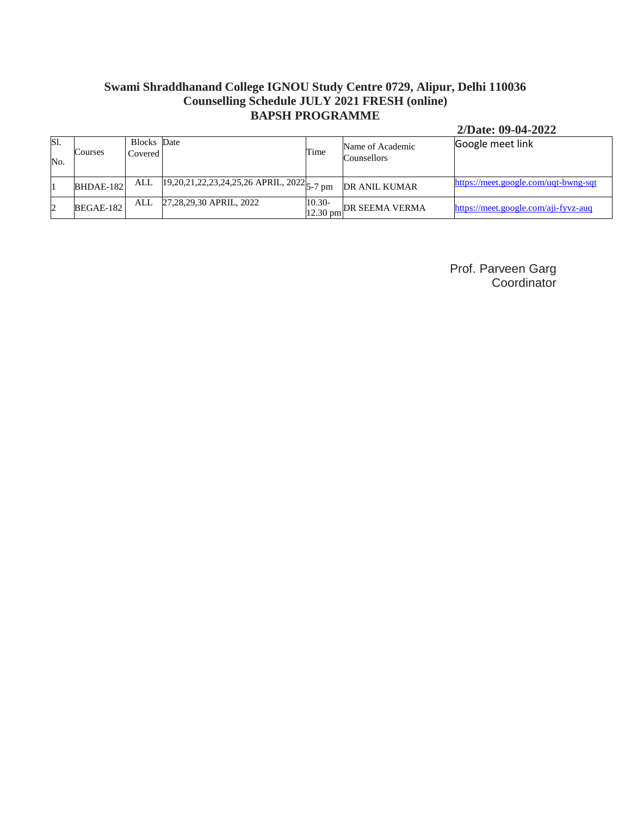### **Swami Shraddhanand College IGNOU Study Centre 0729, Alipur, Delhi 110036 Counselling Schedule JULY 2021 FRESH (online) BAPSH PROGRAMME**

#### **2/Date: 09-04-2022**

| Sl.<br>No. | Courses   | Blocks Date<br>Covered |                                                                      | Time      | Name of Academic<br>Counsellors                            | Google meet link                     |
|------------|-----------|------------------------|----------------------------------------------------------------------|-----------|------------------------------------------------------------|--------------------------------------|
|            | BHDAE-182 | ALL                    | $\sqrt{19,20,21,22,23,24,25,26}$ APRIL, $2022\vert_{5-7 \text{ pm}}$ |           | DR ANIL KUMAR                                              | https://meet.google.com/uqt-bwng-sqt |
| 12         | BEGAE-182 | ALL                    | 27,28,29,30 APRIL, 2022                                              | $10.30 -$ | $\frac{12.30 \text{ pm}}{12.30 \text{ pm}}$ DR SEEMA VERMA | https://meet.google.com/aji-fyvz-auq |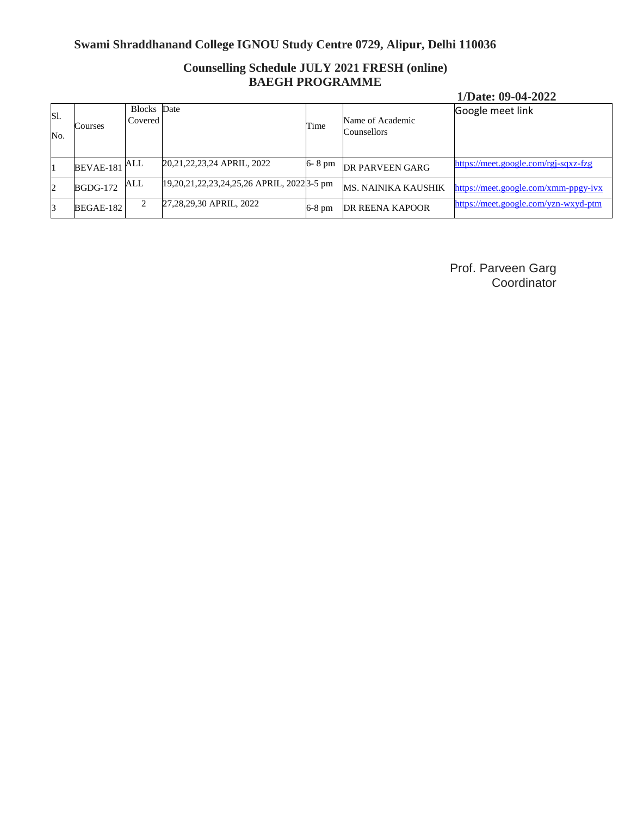## **Counselling Schedule JULY 2021 FRESH (online) BAEGH PROGRAMME**

#### **1/Date: 09-04-2022**

| Sl.<br>No. | Courses          | Blocks Date<br>Covered |                                            | Time     | Name of Academic<br>Counsellors | Google meet link                     |
|------------|------------------|------------------------|--------------------------------------------|----------|---------------------------------|--------------------------------------|
|            | BEVAE-181 ALL    |                        | 20,21,22,23,24 APRIL, 2022                 | 6-8 pm   | DR PARVEEN GARG                 | https://meet.google.com/rgj-sqxz-fzg |
|            | <b>BGDG-172</b>  | ALL                    | 19,20,21,22,23,24,25,26 APRIL, 2022 3-5 pm |          | <b>MS. NAINIKA KAUSHIK</b>      | https://meet.google.com/xmm-ppgy-ivx |
|            | <b>BEGAE-182</b> |                        | 27,28,29,30 APRIL, 2022                    | $6-8$ pm | <b>DR REENA KAPOOR</b>          | https://meet.google.com/yzn-wxyd-ptm |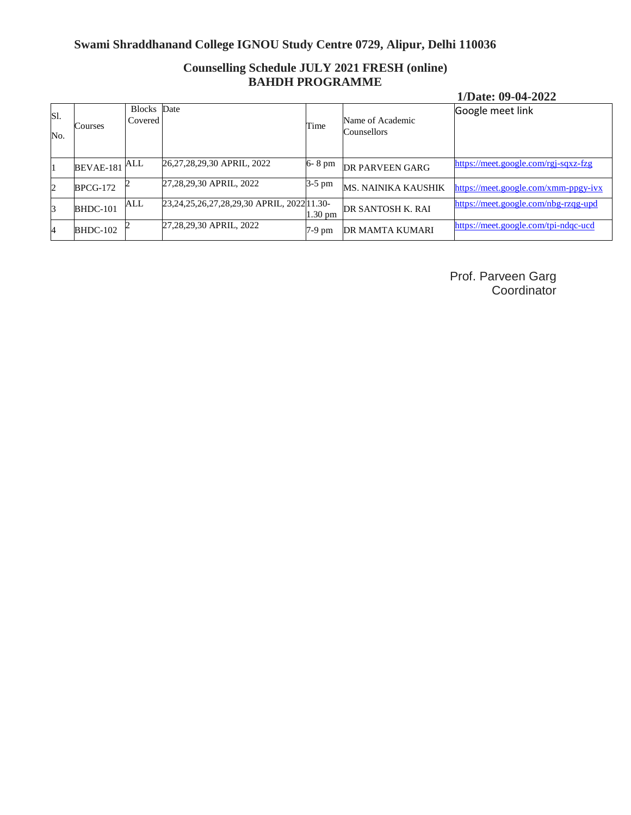## **Counselling Schedule JULY 2021 FRESH (online) BAHDH PROGRAMME**

#### **1/Date: 09-04-2022**

| Sl.<br>No. | Courses         | Blocks Date<br>Covered |                                                   | Time              | Name of Academic<br>Counsellors | Google meet link                     |
|------------|-----------------|------------------------|---------------------------------------------------|-------------------|---------------------------------|--------------------------------------|
|            | BEVAE-181       | ALL                    | 26,27,28,29,30 APRIL, 2022                        | 6-8 pm            | <b>DR PARVEEN GARG</b>          | https://meet.google.com/rgj-sqxz-fzg |
| 2          | <b>BPCG-172</b> |                        | 27,28,29,30 APRIL, 2022                           | $3-5$ pm          | MS. NAINIKA KAUSHIK             | https://meet.google.com/xmm-ppgy-ivx |
| 3          | BHDC-101        | ALL                    | 23, 24, 25, 26, 27, 28, 29, 30 APRIL, 2022 11.30- | $1.30 \text{ pm}$ | DR SANTOSH K. RAI               | https://meet.google.com/nbg-rzqg-upd |
|            | $BHDC-102$      |                        | 27,28,29,30 APRIL, 2022                           | $7-9$ pm          | <b>DR MAMTA KUMARI</b>          | https://meet.google.com/tpi-ndqc-ucd |